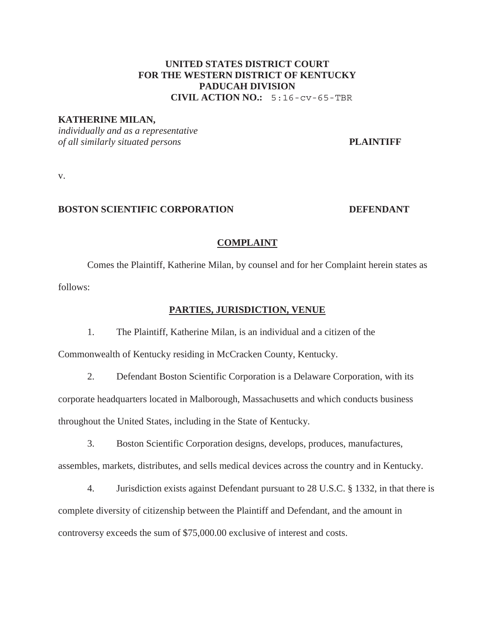# **UNITED STATES DISTRICT COURT FOR THE WESTERN DISTRICT OF KENTUCKY PADUCAH DIVISION**   $CIVIL$   $ACTION NO.: 5:16-cv-65-TBR$

#### **KATHERINE MILAN,**

*individually and as a representative of all similarly situated persons* **PLAINTIFF**

v.

#### **BOSTON SCIENTIFIC CORPORATION DEFENDANT**

#### **COMPLAINT**

 Comes the Plaintiff, Katherine Milan, by counsel and for her Complaint herein states as follows:

#### **PARTIES, JURISDICTION, VENUE**

1. The Plaintiff, Katherine Milan, is an individual and a citizen of the

Commonwealth of Kentucky residing in McCracken County, Kentucky.

2. Defendant Boston Scientific Corporation is a Delaware Corporation, with its corporate headquarters located in Malborough, Massachusetts and which conducts business throughout the United States, including in the State of Kentucky.

3. Boston Scientific Corporation designs, develops, produces, manufactures, assembles, markets, distributes, and sells medical devices across the country and in Kentucky.

4. Jurisdiction exists against Defendant pursuant to 28 U.S.C. § 1332, in that there is complete diversity of citizenship between the Plaintiff and Defendant, and the amount in controversy exceeds the sum of \$75,000.00 exclusive of interest and costs.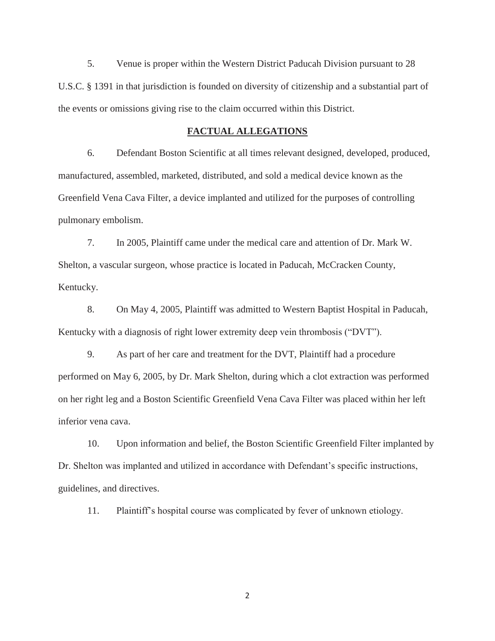5. Venue is proper within the Western District Paducah Division pursuant to 28 U.S.C. § 1391 in that jurisdiction is founded on diversity of citizenship and a substantial part of the events or omissions giving rise to the claim occurred within this District.

## **FACTUAL ALLEGATIONS**

6. Defendant Boston Scientific at all times relevant designed, developed, produced, manufactured, assembled, marketed, distributed, and sold a medical device known as the Greenfield Vena Cava Filter, a device implanted and utilized for the purposes of controlling pulmonary embolism.

7. In 2005, Plaintiff came under the medical care and attention of Dr. Mark W. Shelton, a vascular surgeon, whose practice is located in Paducah, McCracken County, Kentucky.

8. On May 4, 2005, Plaintiff was admitted to Western Baptist Hospital in Paducah, Kentucky with a diagnosis of right lower extremity deep vein thrombosis ("DVT").

9. As part of her care and treatment for the DVT, Plaintiff had a procedure performed on May 6, 2005, by Dr. Mark Shelton, during which a clot extraction was performed on her right leg and a Boston Scientific Greenfield Vena Cava Filter was placed within her left inferior vena cava.

10. Upon information and belief, the Boston Scientific Greenfield Filter implanted by Dr. Shelton was implanted and utilized in accordance with Defendant's specific instructions, guidelines, and directives.

11. Plaintiff's hospital course was complicated by fever of unknown etiology.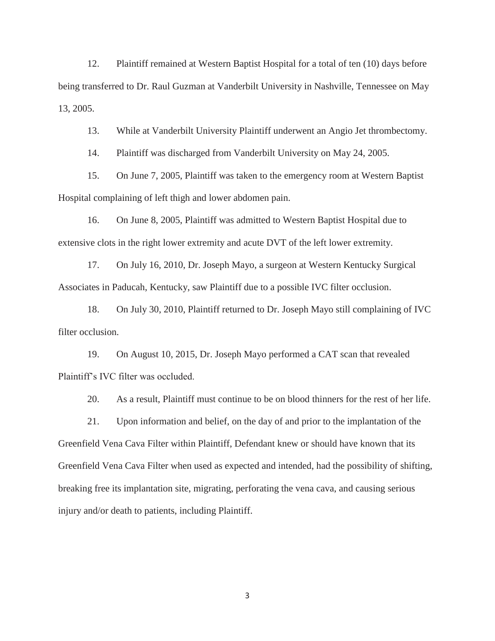12. Plaintiff remained at Western Baptist Hospital for a total of ten (10) days before being transferred to Dr. Raul Guzman at Vanderbilt University in Nashville, Tennessee on May 13, 2005.

13. While at Vanderbilt University Plaintiff underwent an Angio Jet thrombectomy.

14. Plaintiff was discharged from Vanderbilt University on May 24, 2005.

15. On June 7, 2005, Plaintiff was taken to the emergency room at Western Baptist Hospital complaining of left thigh and lower abdomen pain.

16. On June 8, 2005, Plaintiff was admitted to Western Baptist Hospital due to extensive clots in the right lower extremity and acute DVT of the left lower extremity.

17. On July 16, 2010, Dr. Joseph Mayo, a surgeon at Western Kentucky Surgical Associates in Paducah, Kentucky, saw Plaintiff due to a possible IVC filter occlusion.

18. On July 30, 2010, Plaintiff returned to Dr. Joseph Mayo still complaining of IVC filter occlusion.

19. On August 10, 2015, Dr. Joseph Mayo performed a CAT scan that revealed Plaintiff's IVC filter was occluded.

20. As a result, Plaintiff must continue to be on blood thinners for the rest of her life.

21. Upon information and belief, on the day of and prior to the implantation of the Greenfield Vena Cava Filter within Plaintiff, Defendant knew or should have known that its Greenfield Vena Cava Filter when used as expected and intended, had the possibility of shifting, breaking free its implantation site, migrating, perforating the vena cava, and causing serious injury and/or death to patients, including Plaintiff.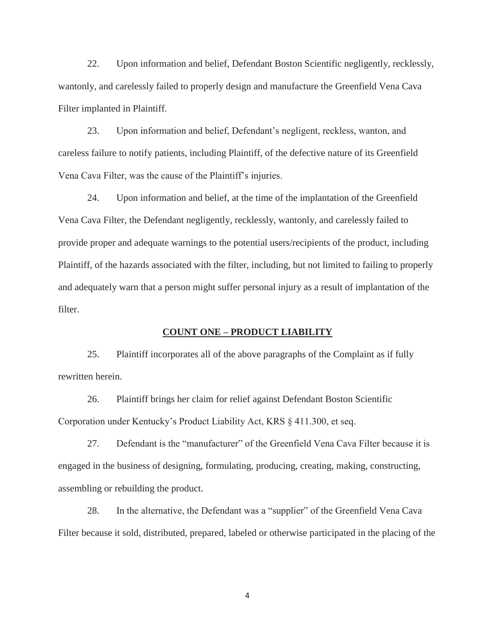22. Upon information and belief, Defendant Boston Scientific negligently, recklessly, wantonly, and carelessly failed to properly design and manufacture the Greenfield Vena Cava Filter implanted in Plaintiff.

23. Upon information and belief, Defendant's negligent, reckless, wanton, and careless failure to notify patients, including Plaintiff, of the defective nature of its Greenfield Vena Cava Filter, was the cause of the Plaintiff's injuries.

24. Upon information and belief, at the time of the implantation of the Greenfield Vena Cava Filter, the Defendant negligently, recklessly, wantonly, and carelessly failed to provide proper and adequate warnings to the potential users/recipients of the product, including Plaintiff, of the hazards associated with the filter, including, but not limited to failing to properly and adequately warn that a person might suffer personal injury as a result of implantation of the filter.

## **COUNT ONE – PRODUCT LIABILITY**

25. Plaintiff incorporates all of the above paragraphs of the Complaint as if fully rewritten herein.

26. Plaintiff brings her claim for relief against Defendant Boston Scientific Corporation under Kentucky's Product Liability Act, KRS § 411.300, et seq.

27. Defendant is the "manufacturer" of the Greenfield Vena Cava Filter because it is engaged in the business of designing, formulating, producing, creating, making, constructing, assembling or rebuilding the product.

28. In the alternative, the Defendant was a "supplier" of the Greenfield Vena Cava Filter because it sold, distributed, prepared, labeled or otherwise participated in the placing of the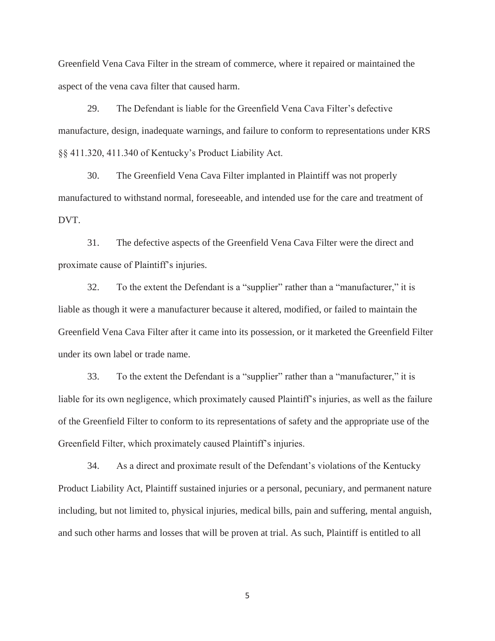Greenfield Vena Cava Filter in the stream of commerce, where it repaired or maintained the aspect of the vena cava filter that caused harm.

29. The Defendant is liable for the Greenfield Vena Cava Filter's defective manufacture, design, inadequate warnings, and failure to conform to representations under KRS §§ 411.320, 411.340 of Kentucky's Product Liability Act.

30. The Greenfield Vena Cava Filter implanted in Plaintiff was not properly manufactured to withstand normal, foreseeable, and intended use for the care and treatment of DVT.

31. The defective aspects of the Greenfield Vena Cava Filter were the direct and proximate cause of Plaintiff's injuries.

32. To the extent the Defendant is a "supplier" rather than a "manufacturer," it is liable as though it were a manufacturer because it altered, modified, or failed to maintain the Greenfield Vena Cava Filter after it came into its possession, or it marketed the Greenfield Filter under its own label or trade name.

33. To the extent the Defendant is a "supplier" rather than a "manufacturer," it is liable for its own negligence, which proximately caused Plaintiff's injuries, as well as the failure of the Greenfield Filter to conform to its representations of safety and the appropriate use of the Greenfield Filter, which proximately caused Plaintiff's injuries.

34. As a direct and proximate result of the Defendant's violations of the Kentucky Product Liability Act, Plaintiff sustained injuries or a personal, pecuniary, and permanent nature including, but not limited to, physical injuries, medical bills, pain and suffering, mental anguish, and such other harms and losses that will be proven at trial. As such, Plaintiff is entitled to all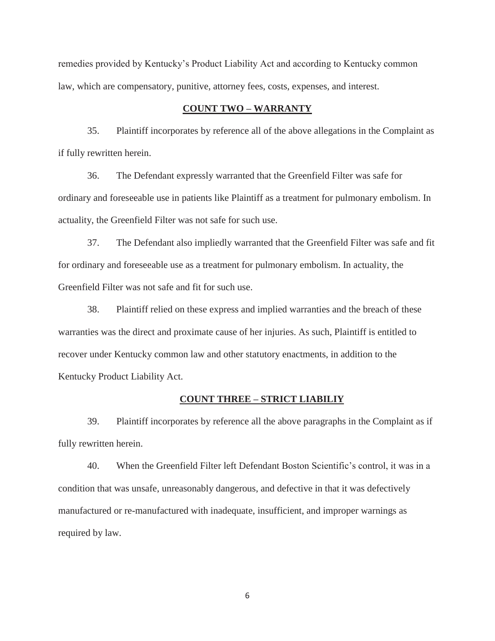remedies provided by Kentucky's Product Liability Act and according to Kentucky common law, which are compensatory, punitive, attorney fees, costs, expenses, and interest.

## **COUNT TWO – WARRANTY**

35. Plaintiff incorporates by reference all of the above allegations in the Complaint as if fully rewritten herein.

36. The Defendant expressly warranted that the Greenfield Filter was safe for ordinary and foreseeable use in patients like Plaintiff as a treatment for pulmonary embolism. In actuality, the Greenfield Filter was not safe for such use.

37. The Defendant also impliedly warranted that the Greenfield Filter was safe and fit for ordinary and foreseeable use as a treatment for pulmonary embolism. In actuality, the Greenfield Filter was not safe and fit for such use.

38. Plaintiff relied on these express and implied warranties and the breach of these warranties was the direct and proximate cause of her injuries. As such, Plaintiff is entitled to recover under Kentucky common law and other statutory enactments, in addition to the Kentucky Product Liability Act.

## **COUNT THREE – STRICT LIABILIY**

39. Plaintiff incorporates by reference all the above paragraphs in the Complaint as if fully rewritten herein.

40. When the Greenfield Filter left Defendant Boston Scientific's control, it was in a condition that was unsafe, unreasonably dangerous, and defective in that it was defectively manufactured or re-manufactured with inadequate, insufficient, and improper warnings as required by law.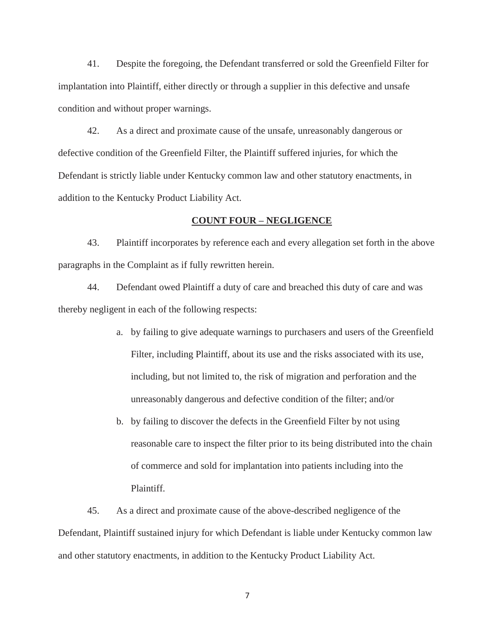41. Despite the foregoing, the Defendant transferred or sold the Greenfield Filter for implantation into Plaintiff, either directly or through a supplier in this defective and unsafe condition and without proper warnings.

42. As a direct and proximate cause of the unsafe, unreasonably dangerous or defective condition of the Greenfield Filter, the Plaintiff suffered injuries, for which the Defendant is strictly liable under Kentucky common law and other statutory enactments, in addition to the Kentucky Product Liability Act.

## **COUNT FOUR – NEGLIGENCE**

43. Plaintiff incorporates by reference each and every allegation set forth in the above paragraphs in the Complaint as if fully rewritten herein.

44. Defendant owed Plaintiff a duty of care and breached this duty of care and was thereby negligent in each of the following respects:

- a. by failing to give adequate warnings to purchasers and users of the Greenfield Filter, including Plaintiff, about its use and the risks associated with its use, including, but not limited to, the risk of migration and perforation and the unreasonably dangerous and defective condition of the filter; and/or
- b. by failing to discover the defects in the Greenfield Filter by not using reasonable care to inspect the filter prior to its being distributed into the chain of commerce and sold for implantation into patients including into the Plaintiff.

45. As a direct and proximate cause of the above-described negligence of the Defendant, Plaintiff sustained injury for which Defendant is liable under Kentucky common law and other statutory enactments, in addition to the Kentucky Product Liability Act.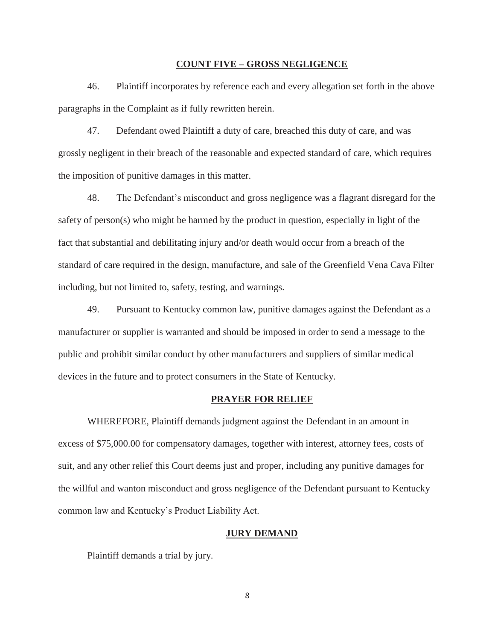#### **COUNT FIVE – GROSS NEGLIGENCE**

46. Plaintiff incorporates by reference each and every allegation set forth in the above paragraphs in the Complaint as if fully rewritten herein.

47. Defendant owed Plaintiff a duty of care, breached this duty of care, and was grossly negligent in their breach of the reasonable and expected standard of care, which requires the imposition of punitive damages in this matter.

48. The Defendant's misconduct and gross negligence was a flagrant disregard for the safety of person(s) who might be harmed by the product in question, especially in light of the fact that substantial and debilitating injury and/or death would occur from a breach of the standard of care required in the design, manufacture, and sale of the Greenfield Vena Cava Filter including, but not limited to, safety, testing, and warnings.

49. Pursuant to Kentucky common law, punitive damages against the Defendant as a manufacturer or supplier is warranted and should be imposed in order to send a message to the public and prohibit similar conduct by other manufacturers and suppliers of similar medical devices in the future and to protect consumers in the State of Kentucky.

#### **PRAYER FOR RELIEF**

WHEREFORE, Plaintiff demands judgment against the Defendant in an amount in excess of \$75,000.00 for compensatory damages, together with interest, attorney fees, costs of suit, and any other relief this Court deems just and proper, including any punitive damages for the willful and wanton misconduct and gross negligence of the Defendant pursuant to Kentucky common law and Kentucky's Product Liability Act.

#### **JURY DEMAND**

Plaintiff demands a trial by jury.